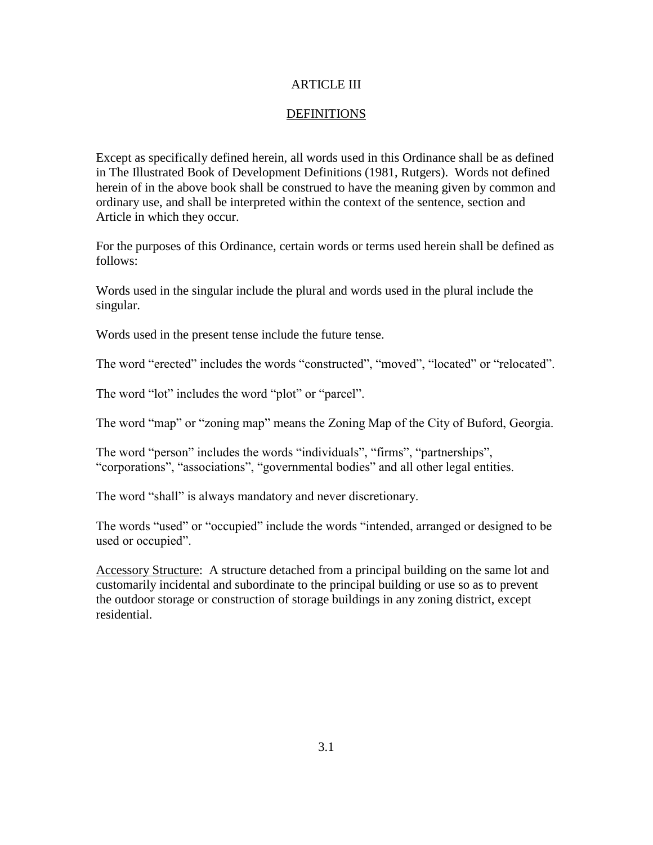## ARTICLE III

## **DEFINITIONS**

Except as specifically defined herein, all words used in this Ordinance shall be as defined in The Illustrated Book of Development Definitions (1981, Rutgers). Words not defined herein of in the above book shall be construed to have the meaning given by common and ordinary use, and shall be interpreted within the context of the sentence, section and Article in which they occur.

For the purposes of this Ordinance, certain words or terms used herein shall be defined as follows:

Words used in the singular include the plural and words used in the plural include the singular.

Words used in the present tense include the future tense.

The word "erected" includes the words "constructed", "moved", "located" or "relocated".

The word "lot" includes the word "plot" or "parcel".

The word "map" or "zoning map" means the Zoning Map of the City of Buford, Georgia.

The word "person" includes the words "individuals", "firms", "partnerships", "corporations", "associations", "governmental bodies" and all other legal entities.

The word "shall" is always mandatory and never discretionary.

The words "used" or "occupied" include the words "intended, arranged or designed to be used or occupied".

Accessory Structure: A structure detached from a principal building on the same lot and customarily incidental and subordinate to the principal building or use so as to prevent the outdoor storage or construction of storage buildings in any zoning district, except residential.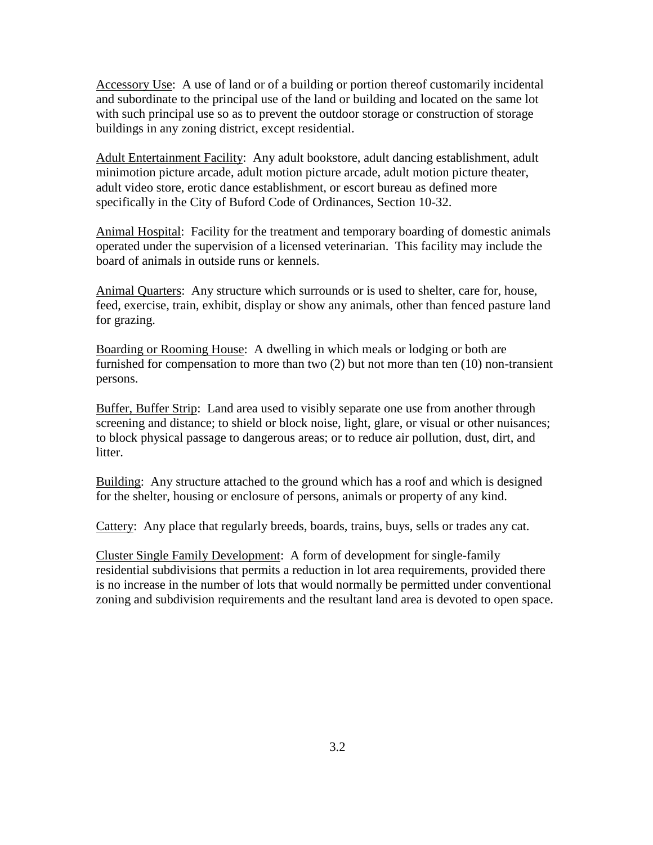Accessory Use: A use of land or of a building or portion thereof customarily incidental and subordinate to the principal use of the land or building and located on the same lot with such principal use so as to prevent the outdoor storage or construction of storage buildings in any zoning district, except residential.

Adult Entertainment Facility: Any adult bookstore, adult dancing establishment, adult minimotion picture arcade, adult motion picture arcade, adult motion picture theater, adult video store, erotic dance establishment, or escort bureau as defined more specifically in the City of Buford Code of Ordinances, Section 10-32.

Animal Hospital: Facility for the treatment and temporary boarding of domestic animals operated under the supervision of a licensed veterinarian. This facility may include the board of animals in outside runs or kennels.

Animal Quarters: Any structure which surrounds or is used to shelter, care for, house, feed, exercise, train, exhibit, display or show any animals, other than fenced pasture land for grazing.

Boarding or Rooming House: A dwelling in which meals or lodging or both are furnished for compensation to more than two (2) but not more than ten (10) non-transient persons.

Buffer, Buffer Strip: Land area used to visibly separate one use from another through screening and distance; to shield or block noise, light, glare, or visual or other nuisances; to block physical passage to dangerous areas; or to reduce air pollution, dust, dirt, and litter.

Building: Any structure attached to the ground which has a roof and which is designed for the shelter, housing or enclosure of persons, animals or property of any kind.

Cattery: Any place that regularly breeds, boards, trains, buys, sells or trades any cat.

Cluster Single Family Development: A form of development for single-family residential subdivisions that permits a reduction in lot area requirements, provided there is no increase in the number of lots that would normally be permitted under conventional zoning and subdivision requirements and the resultant land area is devoted to open space.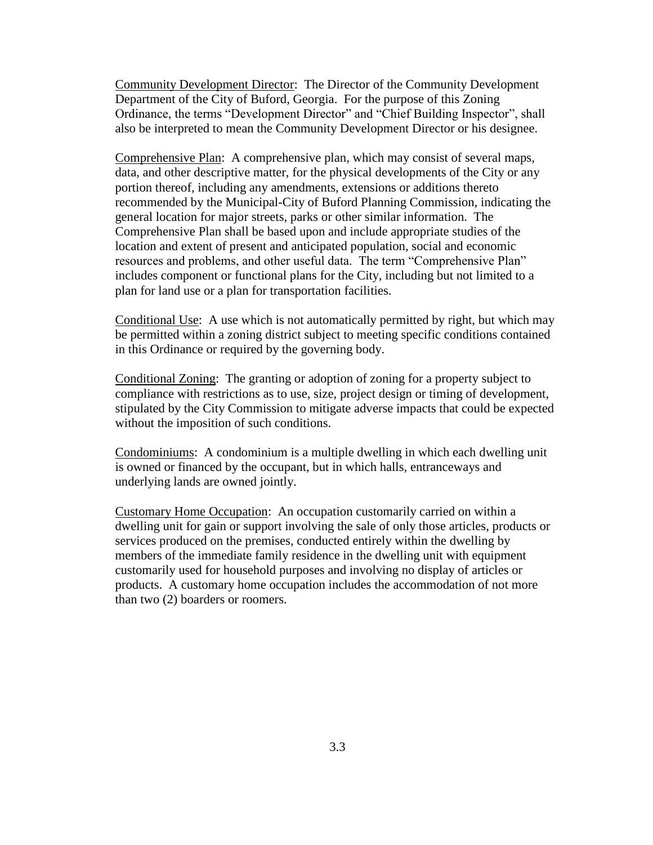Community Development Director: The Director of the Community Development Department of the City of Buford, Georgia. For the purpose of this Zoning Ordinance, the terms "Development Director" and "Chief Building Inspector", shall also be interpreted to mean the Community Development Director or his designee.

Comprehensive Plan: A comprehensive plan, which may consist of several maps, data, and other descriptive matter, for the physical developments of the City or any portion thereof, including any amendments, extensions or additions thereto recommended by the Municipal-City of Buford Planning Commission, indicating the general location for major streets, parks or other similar information. The Comprehensive Plan shall be based upon and include appropriate studies of the location and extent of present and anticipated population, social and economic resources and problems, and other useful data. The term "Comprehensive Plan" includes component or functional plans for the City, including but not limited to a plan for land use or a plan for transportation facilities.

Conditional Use: A use which is not automatically permitted by right, but which may be permitted within a zoning district subject to meeting specific conditions contained in this Ordinance or required by the governing body.

Conditional Zoning: The granting or adoption of zoning for a property subject to compliance with restrictions as to use, size, project design or timing of development, stipulated by the City Commission to mitigate adverse impacts that could be expected without the imposition of such conditions.

Condominiums: A condominium is a multiple dwelling in which each dwelling unit is owned or financed by the occupant, but in which halls, entranceways and underlying lands are owned jointly.

Customary Home Occupation: An occupation customarily carried on within a dwelling unit for gain or support involving the sale of only those articles, products or services produced on the premises, conducted entirely within the dwelling by members of the immediate family residence in the dwelling unit with equipment customarily used for household purposes and involving no display of articles or products. A customary home occupation includes the accommodation of not more than two (2) boarders or roomers.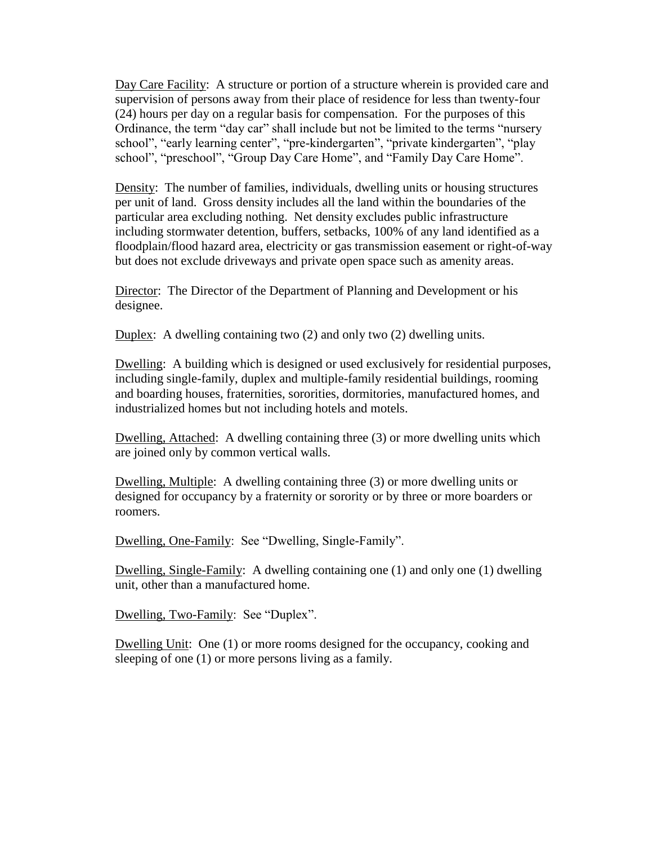Day Care Facility: A structure or portion of a structure wherein is provided care and supervision of persons away from their place of residence for less than twenty-four (24) hours per day on a regular basis for compensation. For the purposes of this Ordinance, the term "day car" shall include but not be limited to the terms "nursery school", "early learning center", "pre-kindergarten", "private kindergarten", "play school", "preschool", "Group Day Care Home", and "Family Day Care Home".

Density: The number of families, individuals, dwelling units or housing structures per unit of land. Gross density includes all the land within the boundaries of the particular area excluding nothing. Net density excludes public infrastructure including stormwater detention, buffers, setbacks, 100% of any land identified as a floodplain/flood hazard area, electricity or gas transmission easement or right-of-way but does not exclude driveways and private open space such as amenity areas.

Director: The Director of the Department of Planning and Development or his designee.

Duplex: A dwelling containing two (2) and only two (2) dwelling units.

Dwelling: A building which is designed or used exclusively for residential purposes, including single-family, duplex and multiple-family residential buildings, rooming and boarding houses, fraternities, sororities, dormitories, manufactured homes, and industrialized homes but not including hotels and motels.

Dwelling, Attached: A dwelling containing three (3) or more dwelling units which are joined only by common vertical walls.

Dwelling, Multiple: A dwelling containing three (3) or more dwelling units or designed for occupancy by a fraternity or sorority or by three or more boarders or roomers.

Dwelling, One-Family: See "Dwelling, Single-Family".

Dwelling, Single-Family: A dwelling containing one (1) and only one (1) dwelling unit, other than a manufactured home.

Dwelling, Two-Family: See "Duplex".

Dwelling Unit: One (1) or more rooms designed for the occupancy, cooking and sleeping of one (1) or more persons living as a family.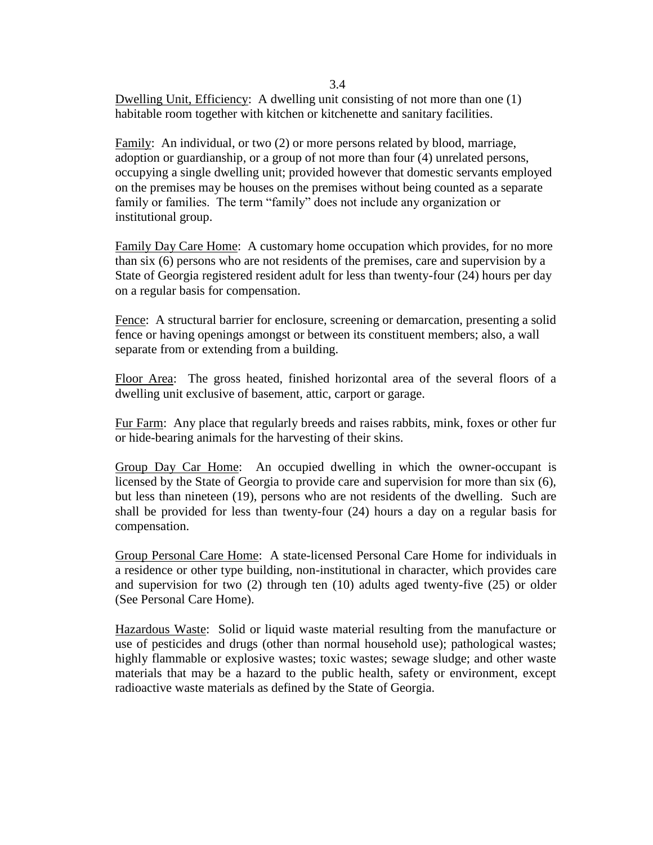Dwelling Unit, Efficiency: A dwelling unit consisting of not more than one (1) habitable room together with kitchen or kitchenette and sanitary facilities.

Family: An individual, or two (2) or more persons related by blood, marriage, adoption or guardianship, or a group of not more than four (4) unrelated persons, occupying a single dwelling unit; provided however that domestic servants employed on the premises may be houses on the premises without being counted as a separate family or families. The term "family" does not include any organization or institutional group.

Family Day Care Home: A customary home occupation which provides, for no more than six (6) persons who are not residents of the premises, care and supervision by a State of Georgia registered resident adult for less than twenty-four (24) hours per day on a regular basis for compensation.

Fence: A structural barrier for enclosure, screening or demarcation, presenting a solid fence or having openings amongst or between its constituent members; also, a wall separate from or extending from a building.

Floor Area: The gross heated, finished horizontal area of the several floors of a dwelling unit exclusive of basement, attic, carport or garage.

Fur Farm: Any place that regularly breeds and raises rabbits, mink, foxes or other fur or hide-bearing animals for the harvesting of their skins.

Group Day Car Home: An occupied dwelling in which the owner-occupant is licensed by the State of Georgia to provide care and supervision for more than six (6), but less than nineteen (19), persons who are not residents of the dwelling. Such are shall be provided for less than twenty-four (24) hours a day on a regular basis for compensation.

Group Personal Care Home: A state-licensed Personal Care Home for individuals in a residence or other type building, non-institutional in character, which provides care and supervision for two (2) through ten (10) adults aged twenty-five (25) or older (See Personal Care Home).

Hazardous Waste: Solid or liquid waste material resulting from the manufacture or use of pesticides and drugs (other than normal household use); pathological wastes; highly flammable or explosive wastes; toxic wastes; sewage sludge; and other waste materials that may be a hazard to the public health, safety or environment, except radioactive waste materials as defined by the State of Georgia.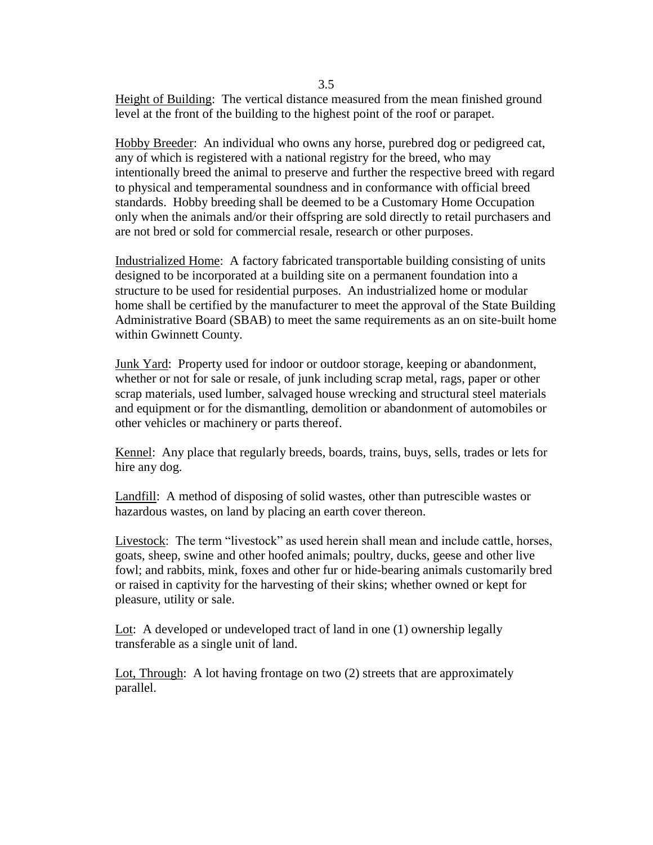Height of Building: The vertical distance measured from the mean finished ground level at the front of the building to the highest point of the roof or parapet.

Hobby Breeder: An individual who owns any horse, purebred dog or pedigreed cat, any of which is registered with a national registry for the breed, who may intentionally breed the animal to preserve and further the respective breed with regard to physical and temperamental soundness and in conformance with official breed standards. Hobby breeding shall be deemed to be a Customary Home Occupation only when the animals and/or their offspring are sold directly to retail purchasers and are not bred or sold for commercial resale, research or other purposes.

Industrialized Home: A factory fabricated transportable building consisting of units designed to be incorporated at a building site on a permanent foundation into a structure to be used for residential purposes. An industrialized home or modular home shall be certified by the manufacturer to meet the approval of the State Building Administrative Board (SBAB) to meet the same requirements as an on site-built home within Gwinnett County.

Junk Yard: Property used for indoor or outdoor storage, keeping or abandonment, whether or not for sale or resale, of junk including scrap metal, rags, paper or other scrap materials, used lumber, salvaged house wrecking and structural steel materials and equipment or for the dismantling, demolition or abandonment of automobiles or other vehicles or machinery or parts thereof.

Kennel: Any place that regularly breeds, boards, trains, buys, sells, trades or lets for hire any dog.

Landfill: A method of disposing of solid wastes, other than putrescible wastes or hazardous wastes, on land by placing an earth cover thereon.

Livestock: The term "livestock" as used herein shall mean and include cattle, horses, goats, sheep, swine and other hoofed animals; poultry, ducks, geese and other live fowl; and rabbits, mink, foxes and other fur or hide-bearing animals customarily bred or raised in captivity for the harvesting of their skins; whether owned or kept for pleasure, utility or sale.

Lot: A developed or undeveloped tract of land in one (1) ownership legally transferable as a single unit of land.

Lot, Through: A lot having frontage on two (2) streets that are approximately parallel.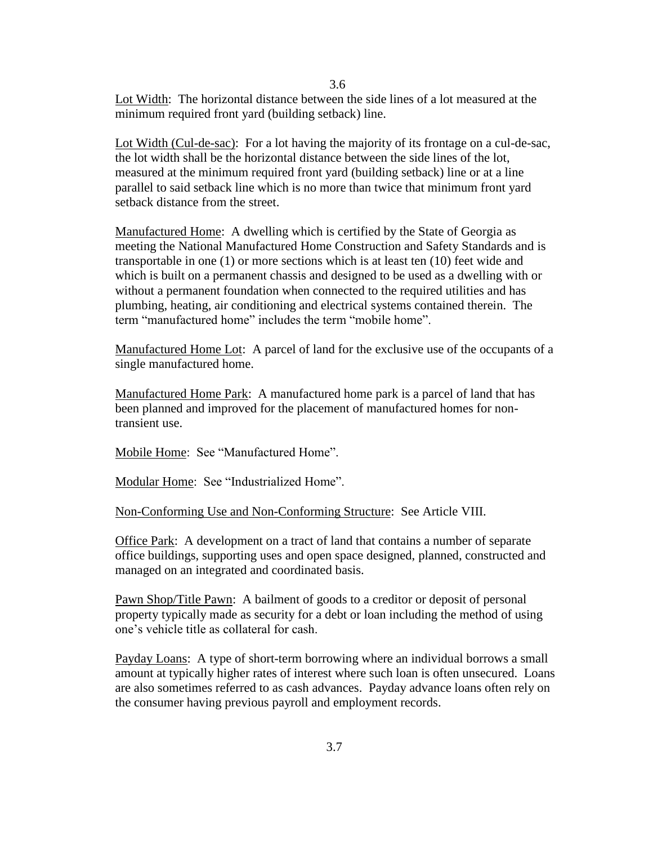Lot Width: The horizontal distance between the side lines of a lot measured at the minimum required front yard (building setback) line.

3.6

Lot Width (Cul-de-sac): For a lot having the majority of its frontage on a cul-de-sac, the lot width shall be the horizontal distance between the side lines of the lot, measured at the minimum required front yard (building setback) line or at a line parallel to said setback line which is no more than twice that minimum front yard setback distance from the street.

Manufactured Home: A dwelling which is certified by the State of Georgia as meeting the National Manufactured Home Construction and Safety Standards and is transportable in one (1) or more sections which is at least ten (10) feet wide and which is built on a permanent chassis and designed to be used as a dwelling with or without a permanent foundation when connected to the required utilities and has plumbing, heating, air conditioning and electrical systems contained therein. The term "manufactured home" includes the term "mobile home".

Manufactured Home Lot: A parcel of land for the exclusive use of the occupants of a single manufactured home.

Manufactured Home Park: A manufactured home park is a parcel of land that has been planned and improved for the placement of manufactured homes for nontransient use.

Mobile Home: See "Manufactured Home".

Modular Home: See "Industrialized Home".

Non-Conforming Use and Non-Conforming Structure: See Article VIII.

Office Park: A development on a tract of land that contains a number of separate office buildings, supporting uses and open space designed, planned, constructed and managed on an integrated and coordinated basis.

Pawn Shop/Title Pawn: A bailment of goods to a creditor or deposit of personal property typically made as security for a debt or loan including the method of using one's vehicle title as collateral for cash.

Payday Loans: A type of short-term borrowing where an individual borrows a small amount at typically higher rates of interest where such loan is often unsecured. Loans are also sometimes referred to as cash advances. Payday advance loans often rely on the consumer having previous payroll and employment records.

3.7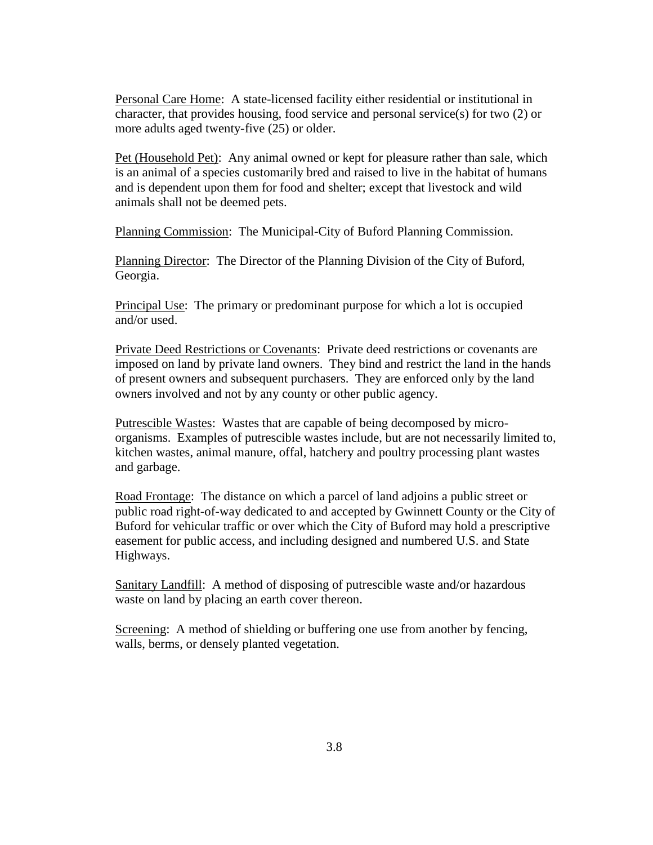Personal Care Home: A state-licensed facility either residential or institutional in character, that provides housing, food service and personal service(s) for two (2) or more adults aged twenty-five (25) or older.

Pet (Household Pet): Any animal owned or kept for pleasure rather than sale, which is an animal of a species customarily bred and raised to live in the habitat of humans and is dependent upon them for food and shelter; except that livestock and wild animals shall not be deemed pets.

Planning Commission: The Municipal-City of Buford Planning Commission.

Planning Director: The Director of the Planning Division of the City of Buford, Georgia.

Principal Use: The primary or predominant purpose for which a lot is occupied and/or used.

Private Deed Restrictions or Covenants: Private deed restrictions or covenants are imposed on land by private land owners. They bind and restrict the land in the hands of present owners and subsequent purchasers. They are enforced only by the land owners involved and not by any county or other public agency.

Putrescible Wastes: Wastes that are capable of being decomposed by microorganisms. Examples of putrescible wastes include, but are not necessarily limited to, kitchen wastes, animal manure, offal, hatchery and poultry processing plant wastes and garbage.

Road Frontage: The distance on which a parcel of land adjoins a public street or public road right-of-way dedicated to and accepted by Gwinnett County or the City of Buford for vehicular traffic or over which the City of Buford may hold a prescriptive easement for public access, and including designed and numbered U.S. and State Highways.

Sanitary Landfill: A method of disposing of putrescible waste and/or hazardous waste on land by placing an earth cover thereon.

Screening: A method of shielding or buffering one use from another by fencing, walls, berms, or densely planted vegetation.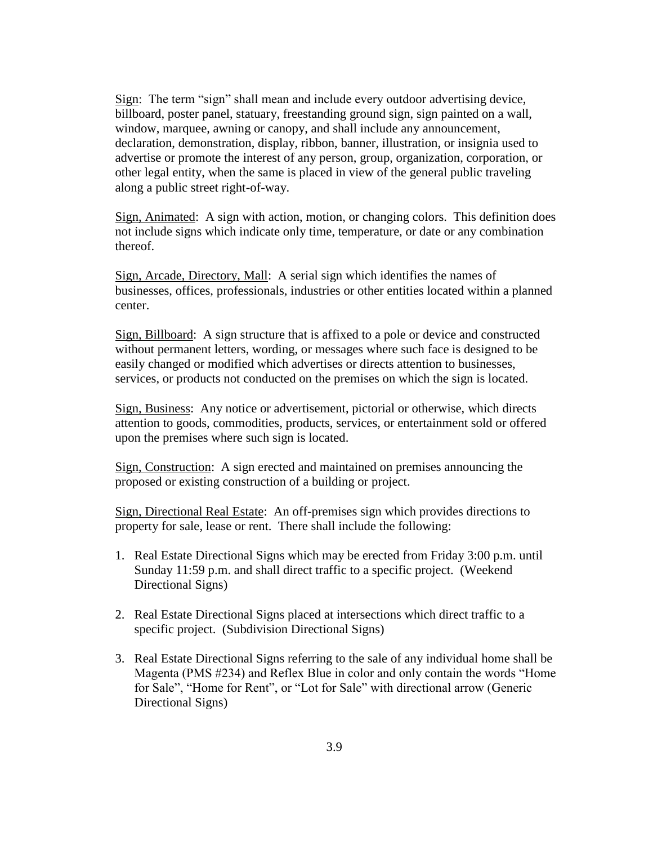Sign: The term "sign" shall mean and include every outdoor advertising device, billboard, poster panel, statuary, freestanding ground sign, sign painted on a wall, window, marquee, awning or canopy, and shall include any announcement, declaration, demonstration, display, ribbon, banner, illustration, or insignia used to advertise or promote the interest of any person, group, organization, corporation, or other legal entity, when the same is placed in view of the general public traveling along a public street right-of-way.

Sign, Animated: A sign with action, motion, or changing colors. This definition does not include signs which indicate only time, temperature, or date or any combination thereof.

Sign, Arcade, Directory, Mall: A serial sign which identifies the names of businesses, offices, professionals, industries or other entities located within a planned center.

Sign, Billboard: A sign structure that is affixed to a pole or device and constructed without permanent letters, wording, or messages where such face is designed to be easily changed or modified which advertises or directs attention to businesses, services, or products not conducted on the premises on which the sign is located.

Sign, Business: Any notice or advertisement, pictorial or otherwise, which directs attention to goods, commodities, products, services, or entertainment sold or offered upon the premises where such sign is located.

Sign, Construction: A sign erected and maintained on premises announcing the proposed or existing construction of a building or project.

Sign, Directional Real Estate: An off-premises sign which provides directions to property for sale, lease or rent. There shall include the following:

- 1. Real Estate Directional Signs which may be erected from Friday 3:00 p.m. until Sunday 11:59 p.m. and shall direct traffic to a specific project. (Weekend Directional Signs)
- 2. Real Estate Directional Signs placed at intersections which direct traffic to a specific project. (Subdivision Directional Signs)
- 3. Real Estate Directional Signs referring to the sale of any individual home shall be Magenta (PMS #234) and Reflex Blue in color and only contain the words "Home for Sale", "Home for Rent", or "Lot for Sale" with directional arrow (Generic Directional Signs)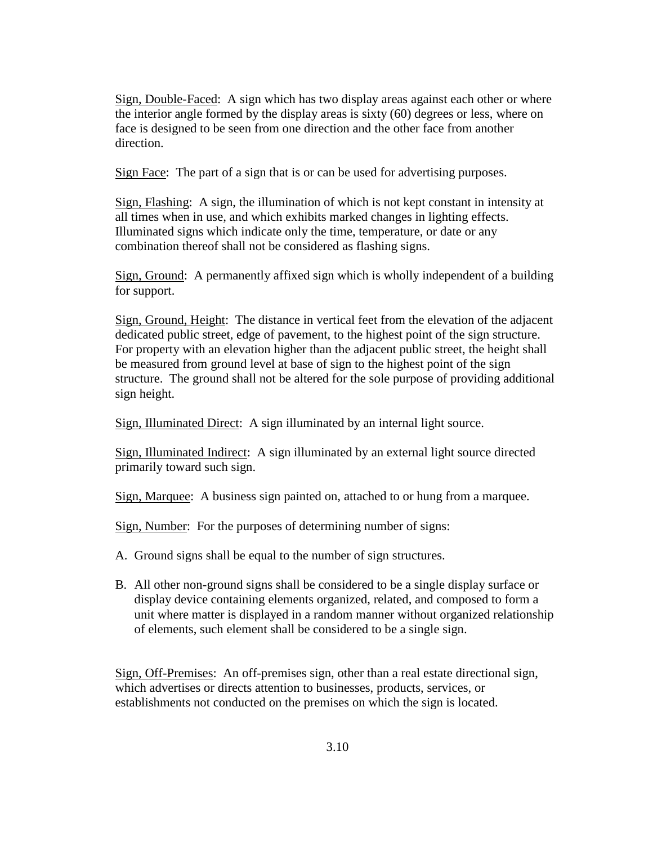Sign, Double-Faced: A sign which has two display areas against each other or where the interior angle formed by the display areas is sixty (60) degrees or less, where on face is designed to be seen from one direction and the other face from another direction.

Sign Face: The part of a sign that is or can be used for advertising purposes.

Sign, Flashing: A sign, the illumination of which is not kept constant in intensity at all times when in use, and which exhibits marked changes in lighting effects. Illuminated signs which indicate only the time, temperature, or date or any combination thereof shall not be considered as flashing signs.

Sign, Ground: A permanently affixed sign which is wholly independent of a building for support.

Sign, Ground, Height: The distance in vertical feet from the elevation of the adjacent dedicated public street, edge of pavement, to the highest point of the sign structure. For property with an elevation higher than the adjacent public street, the height shall be measured from ground level at base of sign to the highest point of the sign structure. The ground shall not be altered for the sole purpose of providing additional sign height.

Sign, Illuminated Direct: A sign illuminated by an internal light source.

Sign, Illuminated Indirect: A sign illuminated by an external light source directed primarily toward such sign.

Sign, Marquee: A business sign painted on, attached to or hung from a marquee.

Sign, Number: For the purposes of determining number of signs:

- A. Ground signs shall be equal to the number of sign structures.
- B. All other non-ground signs shall be considered to be a single display surface or display device containing elements organized, related, and composed to form a unit where matter is displayed in a random manner without organized relationship of elements, such element shall be considered to be a single sign.

Sign, Off-Premises: An off-premises sign, other than a real estate directional sign, which advertises or directs attention to businesses, products, services, or establishments not conducted on the premises on which the sign is located.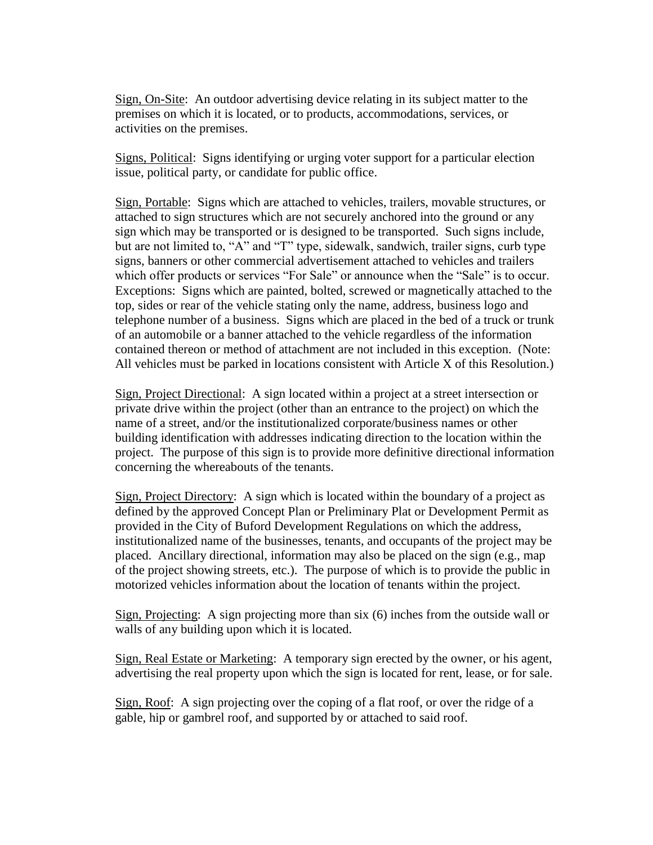Sign, On-Site: An outdoor advertising device relating in its subject matter to the premises on which it is located, or to products, accommodations, services, or activities on the premises.

Signs, Political: Signs identifying or urging voter support for a particular election issue, political party, or candidate for public office.

Sign, Portable: Signs which are attached to vehicles, trailers, movable structures, or attached to sign structures which are not securely anchored into the ground or any sign which may be transported or is designed to be transported. Such signs include, but are not limited to, "A" and "T" type, sidewalk, sandwich, trailer signs, curb type signs, banners or other commercial advertisement attached to vehicles and trailers which offer products or services "For Sale" or announce when the "Sale" is to occur. Exceptions: Signs which are painted, bolted, screwed or magnetically attached to the top, sides or rear of the vehicle stating only the name, address, business logo and telephone number of a business. Signs which are placed in the bed of a truck or trunk of an automobile or a banner attached to the vehicle regardless of the information contained thereon or method of attachment are not included in this exception. (Note: All vehicles must be parked in locations consistent with Article X of this Resolution.)

Sign, Project Directional: A sign located within a project at a street intersection or private drive within the project (other than an entrance to the project) on which the name of a street, and/or the institutionalized corporate/business names or other building identification with addresses indicating direction to the location within the project. The purpose of this sign is to provide more definitive directional information concerning the whereabouts of the tenants.

Sign, Project Directory: A sign which is located within the boundary of a project as defined by the approved Concept Plan or Preliminary Plat or Development Permit as provided in the City of Buford Development Regulations on which the address, institutionalized name of the businesses, tenants, and occupants of the project may be placed. Ancillary directional, information may also be placed on the sign (e.g., map of the project showing streets, etc.). The purpose of which is to provide the public in motorized vehicles information about the location of tenants within the project.

Sign, Projecting: A sign projecting more than six (6) inches from the outside wall or walls of any building upon which it is located.

Sign, Real Estate or Marketing: A temporary sign erected by the owner, or his agent, advertising the real property upon which the sign is located for rent, lease, or for sale.

Sign, Roof: A sign projecting over the coping of a flat roof, or over the ridge of a gable, hip or gambrel roof, and supported by or attached to said roof.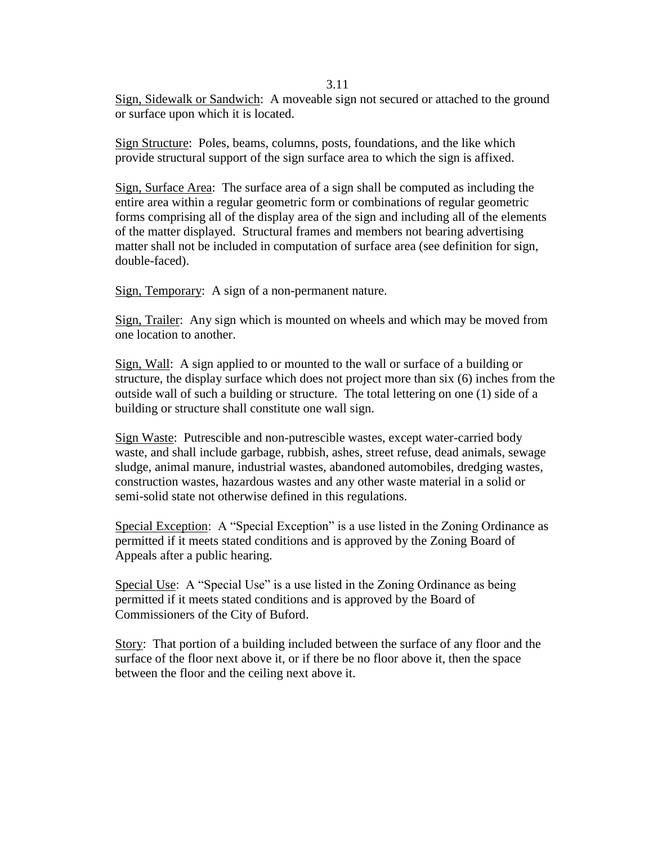3.11

Sign, Sidewalk or Sandwich: A moveable sign not secured or attached to the ground or surface upon which it is located.

Sign Structure: Poles, beams, columns, posts, foundations, and the like which provide structural support of the sign surface area to which the sign is affixed.

Sign, Surface Area: The surface area of a sign shall be computed as including the entire area within a regular geometric form or combinations of regular geometric forms comprising all of the display area of the sign and including all of the elements of the matter displayed. Structural frames and members not bearing advertising matter shall not be included in computation of surface area (see definition for sign, double-faced).

Sign, Temporary: A sign of a non-permanent nature.

Sign, Trailer: Any sign which is mounted on wheels and which may be moved from one location to another.

Sign, Wall: A sign applied to or mounted to the wall or surface of a building or structure, the display surface which does not project more than six (6) inches from the outside wall of such a building or structure. The total lettering on one (1) side of a building or structure shall constitute one wall sign.

Sign Waste: Putrescible and non-putrescible wastes, except water-carried body waste, and shall include garbage, rubbish, ashes, street refuse, dead animals, sewage sludge, animal manure, industrial wastes, abandoned automobiles, dredging wastes, construction wastes, hazardous wastes and any other waste material in a solid or semi-solid state not otherwise defined in this regulations.

Special Exception: A "Special Exception" is a use listed in the Zoning Ordinance as permitted if it meets stated conditions and is approved by the Zoning Board of Appeals after a public hearing.

Special Use: A "Special Use" is a use listed in the Zoning Ordinance as being permitted if it meets stated conditions and is approved by the Board of Commissioners of the City of Buford.

Story: That portion of a building included between the surface of any floor and the surface of the floor next above it, or if there be no floor above it, then the space between the floor and the ceiling next above it.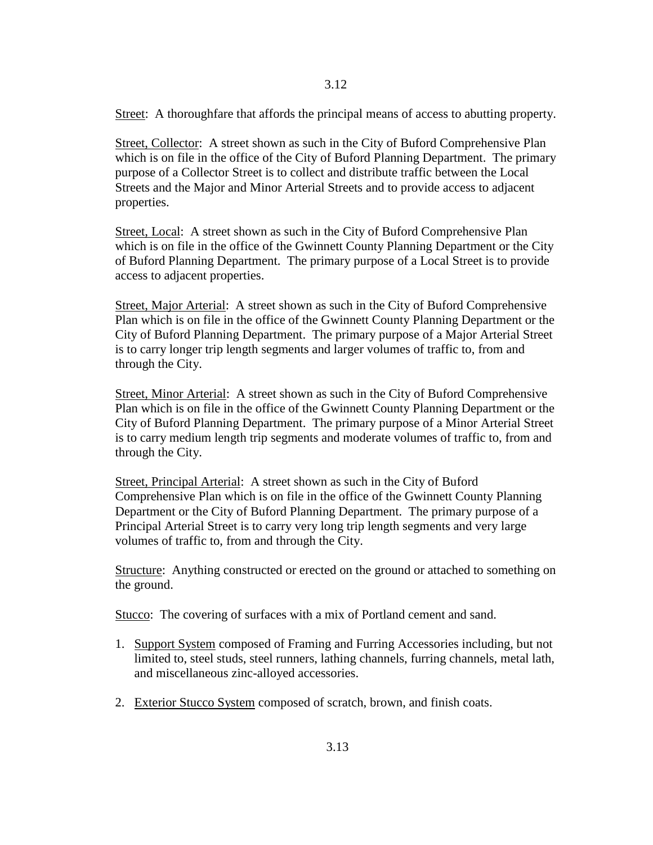Street: A thoroughfare that affords the principal means of access to abutting property.

Street, Collector: A street shown as such in the City of Buford Comprehensive Plan which is on file in the office of the City of Buford Planning Department. The primary purpose of a Collector Street is to collect and distribute traffic between the Local Streets and the Major and Minor Arterial Streets and to provide access to adjacent properties.

Street, Local: A street shown as such in the City of Buford Comprehensive Plan which is on file in the office of the Gwinnett County Planning Department or the City of Buford Planning Department. The primary purpose of a Local Street is to provide access to adjacent properties.

Street, Major Arterial: A street shown as such in the City of Buford Comprehensive Plan which is on file in the office of the Gwinnett County Planning Department or the City of Buford Planning Department. The primary purpose of a Major Arterial Street is to carry longer trip length segments and larger volumes of traffic to, from and through the City.

Street, Minor Arterial: A street shown as such in the City of Buford Comprehensive Plan which is on file in the office of the Gwinnett County Planning Department or the City of Buford Planning Department. The primary purpose of a Minor Arterial Street is to carry medium length trip segments and moderate volumes of traffic to, from and through the City.

Street, Principal Arterial: A street shown as such in the City of Buford Comprehensive Plan which is on file in the office of the Gwinnett County Planning Department or the City of Buford Planning Department. The primary purpose of a Principal Arterial Street is to carry very long trip length segments and very large volumes of traffic to, from and through the City.

Structure: Anything constructed or erected on the ground or attached to something on the ground.

Stucco: The covering of surfaces with a mix of Portland cement and sand.

- 1. Support System composed of Framing and Furring Accessories including, but not limited to, steel studs, steel runners, lathing channels, furring channels, metal lath, and miscellaneous zinc-alloyed accessories.
- 2. Exterior Stucco System composed of scratch, brown, and finish coats.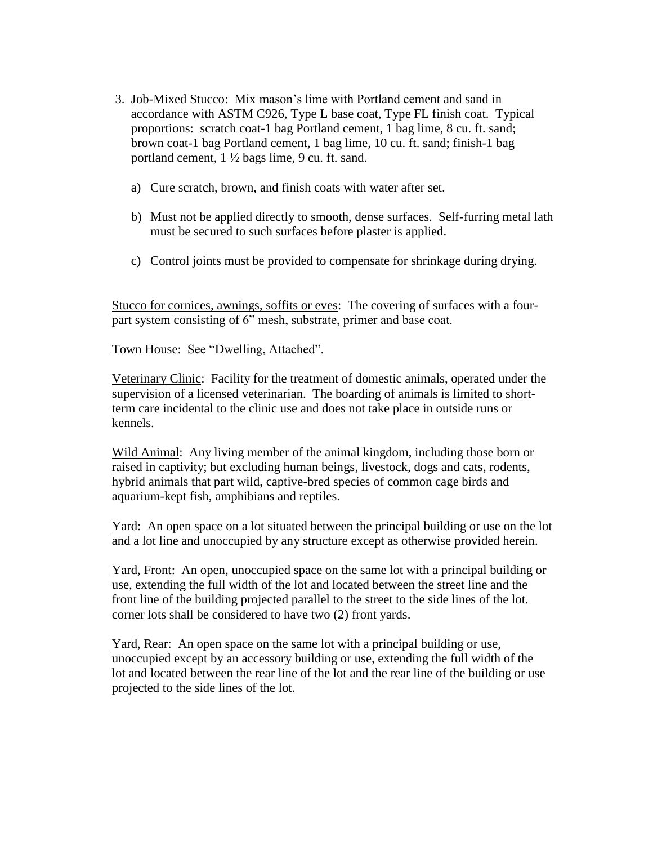- 3. Job-Mixed Stucco: Mix mason's lime with Portland cement and sand in accordance with ASTM C926, Type L base coat, Type FL finish coat. Typical proportions: scratch coat-1 bag Portland cement, 1 bag lime, 8 cu. ft. sand; brown coat-1 bag Portland cement, 1 bag lime, 10 cu. ft. sand; finish-1 bag portland cement, 1 ½ bags lime, 9 cu. ft. sand.
	- a) Cure scratch, brown, and finish coats with water after set.
	- b) Must not be applied directly to smooth, dense surfaces. Self-furring metal lath must be secured to such surfaces before plaster is applied.
	- c) Control joints must be provided to compensate for shrinkage during drying.

 Stucco for cornices, awnings, soffits or eves: The covering of surfaces with a four part system consisting of 6" mesh, substrate, primer and base coat.

Town House: See "Dwelling, Attached".

 Veterinary Clinic: Facility for the treatment of domestic animals, operated under the supervision of a licensed veterinarian. The boarding of animals is limited to short term care incidental to the clinic use and does not take place in outside runs or kennels.

 Wild Animal: Any living member of the animal kingdom, including those born or raised in captivity; but excluding human beings, livestock, dogs and cats, rodents, hybrid animals that part wild, captive-bred species of common cage birds and aquarium-kept fish, amphibians and reptiles.

Yard: An open space on a lot situated between the principal building or use on the lot and a lot line and unoccupied by any structure except as otherwise provided herein.

 Yard, Front: An open, unoccupied space on the same lot with a principal building or use, extending the full width of the lot and located between the street line and the front line of the building projected parallel to the street to the side lines of the lot. corner lots shall be considered to have two (2) front yards.

 Yard, Rear: An open space on the same lot with a principal building or use, unoccupied except by an accessory building or use, extending the full width of the lot and located between the rear line of the lot and the rear line of the building or use projected to the side lines of the lot.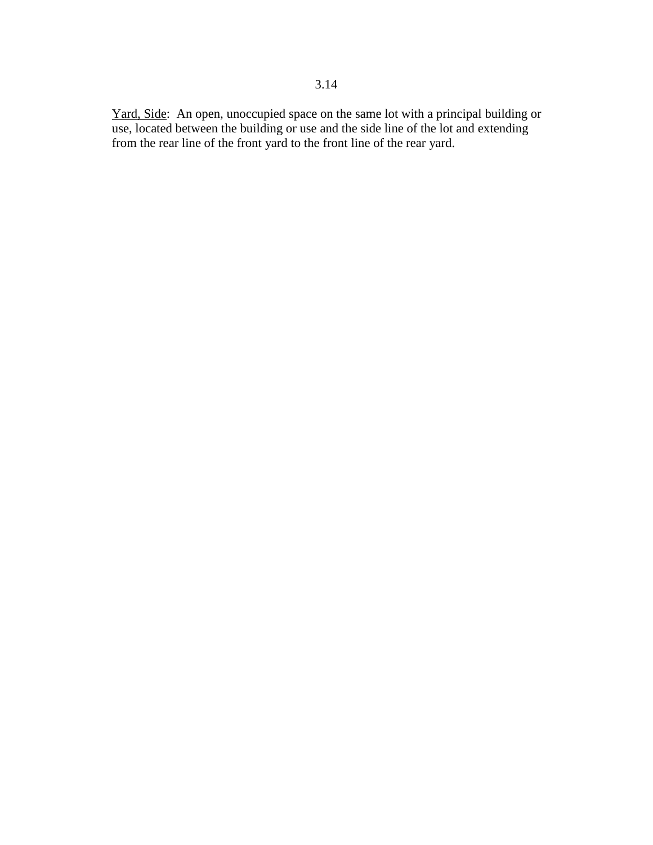Yard, Side: An open, unoccupied space on the same lot with a principal building or use, located between the building or use and the side line of the lot and extending from the rear line of the front yard to the front line of the rear yard.